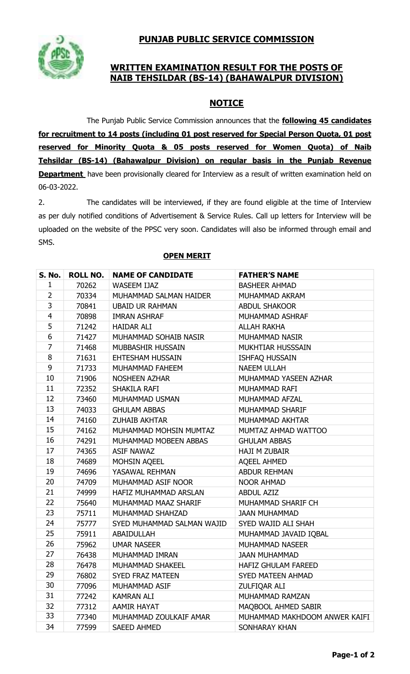

# **WRITTEN EXAMINATION RESULT FOR THE POSTS OF NAIB TEHSILDAR (BS-14) (BAHAWALPUR DIVISION)**

# **NOTICE**

The Punjab Public Service Commission announces that the **following 45 candidates for recruitment to 14 posts (including 01 post reserved for Special Person Quota, 01 post reserved for Minority Quota & 05 posts reserved for Women Quota) of Naib Tehsildar (BS-14) (Bahawalpur Division) on regular basis in the Punjab Revenue Department** have been provisionally cleared for Interview as a result of written examination held on 06-03-2022.

2. The candidates will be interviewed, if they are found eligible at the time of Interview as per duly notified conditions of Advertisement & Service Rules. Call up letters for Interview will be uploaded on the website of the PPSC very soon. Candidates will also be informed through email and SMS.

| <b>S. No.</b>  | <b>ROLL NO.</b> | <b>NAME OF CANDIDATE</b>   | <b>FATHER'S NAME</b>          |
|----------------|-----------------|----------------------------|-------------------------------|
| 1              | 70262           | <b>WASEEM IJAZ</b>         | <b>BASHEER AHMAD</b>          |
| $\overline{2}$ | 70334           | MUHAMMAD SALMAN HAIDER     | MUHAMMAD AKRAM                |
| 3              | 70841           | <b>UBAID UR RAHMAN</b>     | <b>ABDUL SHAKOOR</b>          |
| $\overline{4}$ | 70898           | <b>IMRAN ASHRAF</b>        | MUHAMMAD ASHRAF               |
| 5              | 71242           | <b>HAIDAR ALI</b>          | <b>ALLAH RAKHA</b>            |
| 6              | 71427           | MUHAMMAD SOHAIB NASIR      | MUHAMMAD NASIR                |
| $\overline{7}$ | 71468           | MUBBASHIR HUSSAIN          | MUKHTIAR HUSSSAIN             |
| 8              | 71631           | EHTESHAM HUSSAIN           | <b>ISHFAQ HUSSAIN</b>         |
| 9              | 71733           | MUHAMMAD FAHEEM            | <b>NAEEM ULLAH</b>            |
| 10             | 71906           | <b>NOSHEEN AZHAR</b>       | MUHAMMAD YASEEN AZHAR         |
| 11             | 72352           | SHAKILA RAFI               | MUHAMMAD RAFI                 |
| 12             | 73460           | MUHAMMAD USMAN             | MUHAMMAD AFZAL                |
| 13             | 74033           | <b>GHULAM ABBAS</b>        | MUHAMMAD SHARIF               |
| 14             | 74160           | <b>ZUHAIB AKHTAR</b>       | MUHAMMAD AKHTAR               |
| 15             | 74162           | MUHAMMAD MOHSIN MUMTAZ     | MUMTAZ AHMAD WATTOO           |
| 16             | 74291           | MUHAMMAD MOBEEN ABBAS      | <b>GHULAM ABBAS</b>           |
| 17             | 74365           | <b>ASIF NAWAZ</b>          | <b>HAJI M ZUBAIR</b>          |
| 18             | 74689           | MOHSIN AQEEL               | <b>AQEEL AHMED</b>            |
| 19             | 74696           | YASAWAL REHMAN             | <b>ABDUR REHMAN</b>           |
| 20             | 74709           | MUHAMMAD ASIF NOOR         | <b>NOOR AHMAD</b>             |
| 21             | 74999           | HAFIZ MUHAMMAD ARSLAN      | <b>ABDUL AZIZ</b>             |
| 22             | 75640           | MUHAMMAD MAAZ SHARIF       | MUHAMMAD SHARIF CH            |
| 23             | 75711           | MUHAMMAD SHAHZAD           | <b>JAAN MUHAMMAD</b>          |
| 24             | 75777           | SYED MUHAMMAD SALMAN WAJID | SYED WAJID ALI SHAH           |
| 25             | 75911           | ABAIDULLAH                 | MUHAMMAD JAVAID IQBAL         |
| 26             | 75962           | <b>UMAR NASEER</b>         | <b>MUHAMMAD NASEER</b>        |
| 27             | 76438           | MUHAMMAD IMRAN             | <b>JAAN MUHAMMAD</b>          |
| 28             | 76478           | MUHAMMAD SHAKEEL           | HAFIZ GHULAM FAREED           |
| 29             | 76802           | <b>SYED FRAZ MATEEN</b>    | <b>SYED MATEEN AHMAD</b>      |
| 30             | 77096           | MUHAMMAD ASIF              | ZULFIQAR ALI                  |
| 31             | 77242           | <b>KAMRAN ALI</b>          | MUHAMMAD RAMZAN               |
| 32             | 77312           | <b>AAMIR HAYAT</b>         | MAQBOOL AHMED SABIR           |
| 33             | 77340           | MUHAMMAD ZOULKAIF AMAR     | MUHAMMAD MAKHDOOM ANWER KAIFI |
| 34             | 77599           | <b>SAEED AHMED</b>         | SONHARAY KHAN                 |

## **OPEN MERIT**